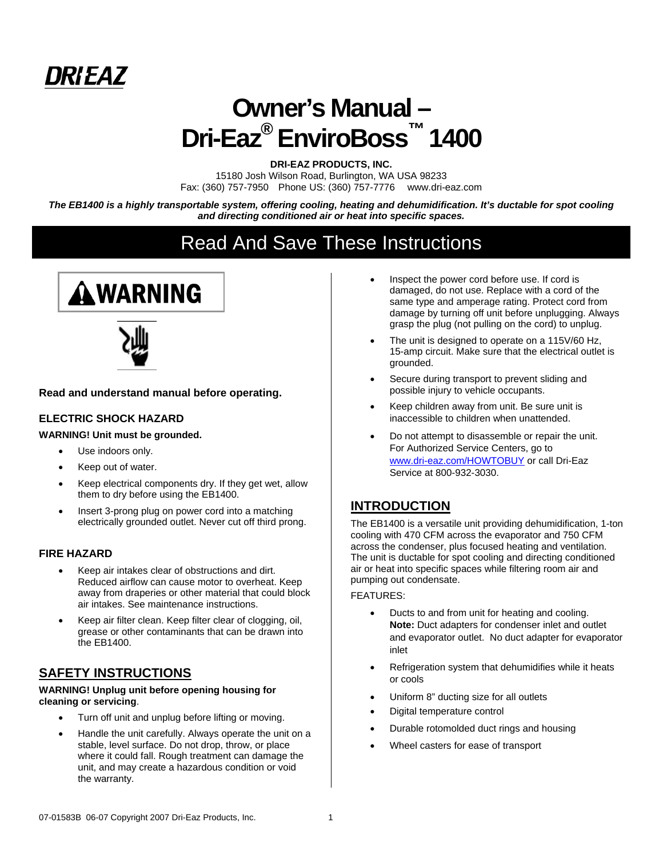

# **Owner's Manual – Dri-Eaz® EnviroBoss™ 1400**

**DRI-EAZ PRODUCTS, INC.** 

15180 Josh Wilson Road, Burlington, WA USA 98233 Fax: (360) 757-7950 Phone US: (360) 757-7776 www.dri-eaz.com

*The EB1400 is a highly transportable system, offering cooling, heating and dehumidification. It's ductable for spot cooling and directing conditioned air or heat into specific spaces.* 

# Read And Save These Instructions





**Read and understand manual before operating.**

#### **ELECTRIC SHOCK HAZARD**

#### **WARNING! Unit must be grounded.**

- Use indoors only.
- Keep out of water.
- Keep electrical components dry. If they get wet, allow them to dry before using the EB1400.
- Insert 3-prong plug on power cord into a matching electrically grounded outlet. Never cut off third prong.

#### **FIRE HAZARD**

- Keep air intakes clear of obstructions and dirt. Reduced airflow can cause motor to overheat. Keep away from draperies or other material that could block air intakes. See maintenance instructions.
- Keep air filter clean. Keep filter clear of clogging, oil, grease or other contaminants that can be drawn into the EB1400.

# **SAFETY INSTRUCTIONS**

#### **WARNING! Unplug unit before opening housing for cleaning or servicing**.

- Turn off unit and unplug before lifting or moving.
- Handle the unit carefully. Always operate the unit on a stable, level surface. Do not drop, throw, or place where it could fall. Rough treatment can damage the unit, and may create a hazardous condition or void the warranty.
- Inspect the power cord before use. If cord is damaged, do not use. Replace with a cord of the same type and amperage rating. Protect cord from damage by turning off unit before unplugging. Always grasp the plug (not pulling on the cord) to unplug.
- The unit is designed to operate on a 115V/60 Hz, 15-amp circuit. Make sure that the electrical outlet is grounded.
- Secure during transport to prevent sliding and possible injury to vehicle occupants.
- Keep children away from unit. Be sure unit is inaccessible to children when unattended.
- Do not attempt to disassemble or repair the unit. For Authorized Service Centers, go to www.dri-eaz.com/HOWTOBUY or call Dri-Eaz Service at 800-932-3030.

# **INTRODUCTION**

The EB1400 is a versatile unit providing dehumidification, 1-ton cooling with 470 CFM across the evaporator and 750 CFM across the condenser, plus focused heating and ventilation. The unit is ductable for spot cooling and directing conditioned air or heat into specific spaces while filtering room air and pumping out condensate.

#### FEATURES:

- Ducts to and from unit for heating and cooling. **Note:** Duct adapters for condenser inlet and outlet and evaporator outlet. No duct adapter for evaporator inlet
- Refrigeration system that dehumidifies while it heats or cools
- Uniform 8" ducting size for all outlets
- Digital temperature control
- Durable rotomolded duct rings and housing
- Wheel casters for ease of transport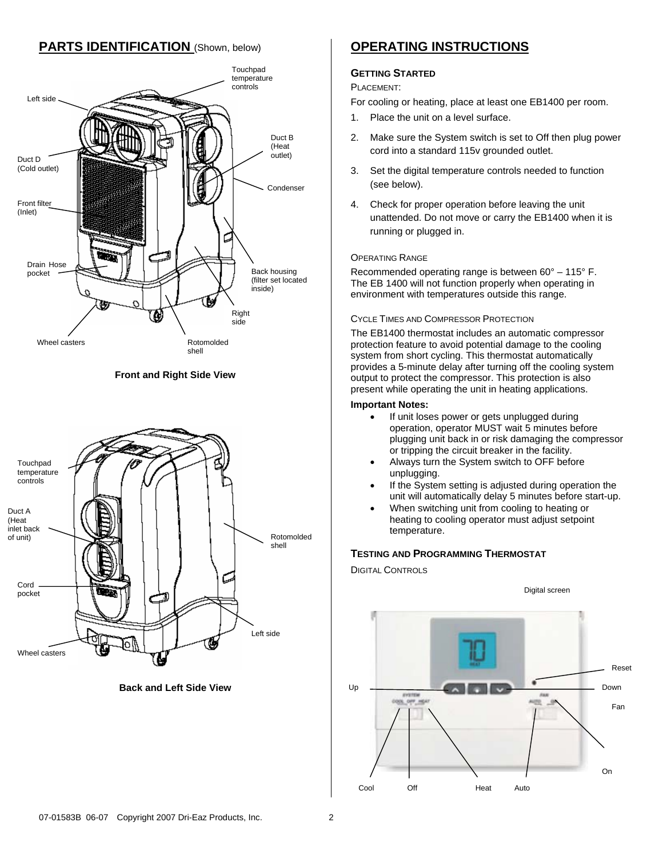# **PARTS IDENTIFICATION** (Shown, below)



**Front and Right Side View**



**Back and Left Side View** 

# **OPERATING INSTRUCTIONS**

#### **GETTING STARTED**

PLACEMENT:

For cooling or heating, place at least one EB1400 per room.

- 1. Place the unit on a level surface.
- 2. Make sure the System switch is set to Off then plug power cord into a standard 115v grounded outlet.
- 3. Set the digital temperature controls needed to function (see below).
- 4. Check for proper operation before leaving the unit unattended. Do not move or carry the EB1400 when it is running or plugged in.

#### OPERATING RANGE

Recommended operating range is between 60° – 115° F. The EB 1400 will not function properly when operating in environment with temperatures outside this range.

#### CYCLE TIMES AND COMPRESSOR PROTECTION

The EB1400 thermostat includes an automatic compressor protection feature to avoid potential damage to the cooling system from short cycling. This thermostat automatically provides a 5-minute delay after turning off the cooling system output to protect the compressor. This protection is also present while operating the unit in heating applications.

#### **Important Notes:**

- If unit loses power or gets unplugged during operation, operator MUST wait 5 minutes before plugging unit back in or risk damaging the compressor or tripping the circuit breaker in the facility.
- Always turn the System switch to OFF before unplugging.
- If the System setting is adjusted during operation the unit will automatically delay 5 minutes before start-up.
- When switching unit from cooling to heating or heating to cooling operator must adjust setpoint temperature.

#### **TESTING AND PROGRAMMING THERMOSTAT**

DIGITAL CONTROLS

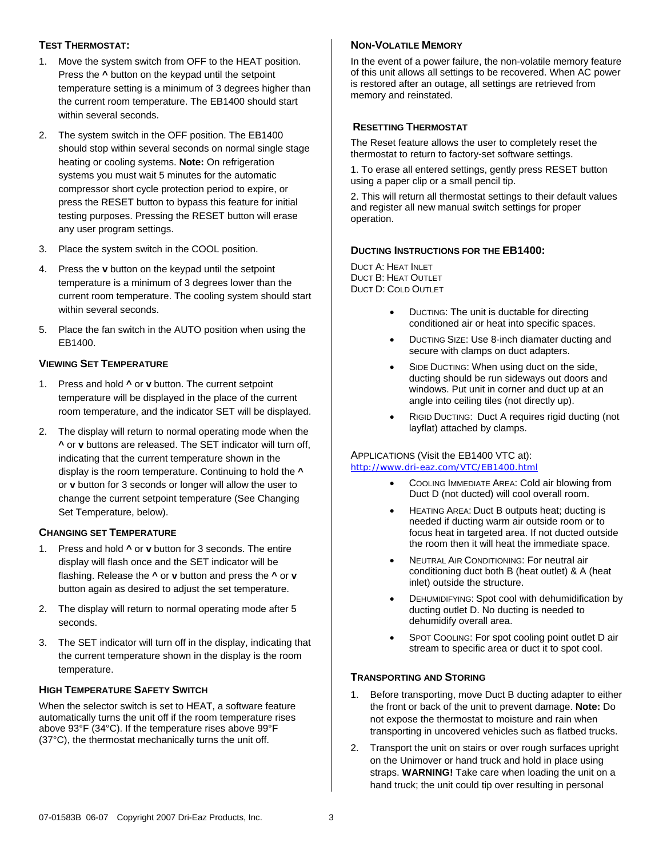#### **TEST THERMOSTAT:**

- 1. Move the system switch from OFF to the HEAT position. Press the **^** button on the keypad until the setpoint temperature setting is a minimum of 3 degrees higher than the current room temperature. The EB1400 should start within several seconds.
- 2. The system switch in the OFF position. The EB1400 should stop within several seconds on normal single stage heating or cooling systems. **Note:** On refrigeration systems you must wait 5 minutes for the automatic compressor short cycle protection period to expire, or press the RESET button to bypass this feature for initial testing purposes. Pressing the RESET button will erase any user program settings.
- 3. Place the system switch in the COOL position.
- 4. Press the **v** button on the keypad until the setpoint temperature is a minimum of 3 degrees lower than the current room temperature. The cooling system should start within several seconds.
- 5. Place the fan switch in the AUTO position when using the EB1400.

#### **VIEWING SET TEMPERATURE**

- 1. Press and hold **^** or **v** button. The current setpoint temperature will be displayed in the place of the current room temperature, and the indicator SET will be displayed.
- 2. The display will return to normal operating mode when the **^** or **v** buttons are released. The SET indicator will turn off, indicating that the current temperature shown in the display is the room temperature. Continuing to hold the **^** or **v** button for 3 seconds or longer will allow the user to change the current setpoint temperature (See Changing Set Temperature, below).

#### **CHANGING SET TEMPERATURE**

- 1. Press and hold **^** or **v** button for 3 seconds. The entire display will flash once and the SET indicator will be flashing. Release the **^** or **v** button and press the **^** or **v** button again as desired to adjust the set temperature.
- 2. The display will return to normal operating mode after 5 seconds.
- 3. The SET indicator will turn off in the display, indicating that the current temperature shown in the display is the room temperature.

#### **HIGH TEMPERATURE SAFETY SWITCH**

When the selector switch is set to HEAT, a software feature automatically turns the unit off if the room temperature rises above 93°F (34°C). If the temperature rises above 99°F (37°C), the thermostat mechanically turns the unit off.

#### **NON-VOLATILE MEMORY**

In the event of a power failure, the non-volatile memory feature of this unit allows all settings to be recovered. When AC power is restored after an outage, all settings are retrieved from memory and reinstated.

#### **RESETTING THERMOSTAT**

The Reset feature allows the user to completely reset the thermostat to return to factory-set software settings.

1. To erase all entered settings, gently press RESET button using a paper clip or a small pencil tip.

2. This will return all thermostat settings to their default values and register all new manual switch settings for proper operation.

#### **DUCTING INSTRUCTIONS FOR THE EB1400:**

DUCT A: HEAT INLET DUCT B: HEAT OUTLET DUCT D: COLD OUTLET

- DUCTING: The unit is ductable for directing conditioned air or heat into specific spaces.
- DUCTING SIZE: Use 8-inch diamater ducting and secure with clamps on duct adapters.
- SIDE DUCTING: When using duct on the side, ducting should be run sideways out doors and windows. Put unit in corner and duct up at an angle into ceiling tiles (not directly up).
- RIGID DUCTING: Duct A requires rigid ducting (not layflat) attached by clamps.

#### APPLICATIONS (Visit the EB1400 VTC at): http://www.dri-eaz.com/VTC/EB1400.html

- COOLING IMMEDIATE AREA: Cold air blowing from Duct D (not ducted) will cool overall room.
- HEATING AREA: Duct B outputs heat; ducting is needed if ducting warm air outside room or to focus heat in targeted area. If not ducted outside the room then it will heat the immediate space.
- NEUTRAL AIR CONDITIONING: For neutral air conditioning duct both B (heat outlet) & A (heat inlet) outside the structure.
- DEHUMIDIFYING: Spot cool with dehumidification by ducting outlet D. No ducting is needed to dehumidify overall area.
- SPOT COOLING: For spot cooling point outlet D air stream to specific area or duct it to spot cool.

#### **TRANSPORTING AND STORING**

- 1. Before transporting, move Duct B ducting adapter to either the front or back of the unit to prevent damage. **Note:** Do not expose the thermostat to moisture and rain when transporting in uncovered vehicles such as flatbed trucks.
- 2. Transport the unit on stairs or over rough surfaces upright on the Unimover or hand truck and hold in place using straps. **WARNING!** Take care when loading the unit on a hand truck; the unit could tip over resulting in personal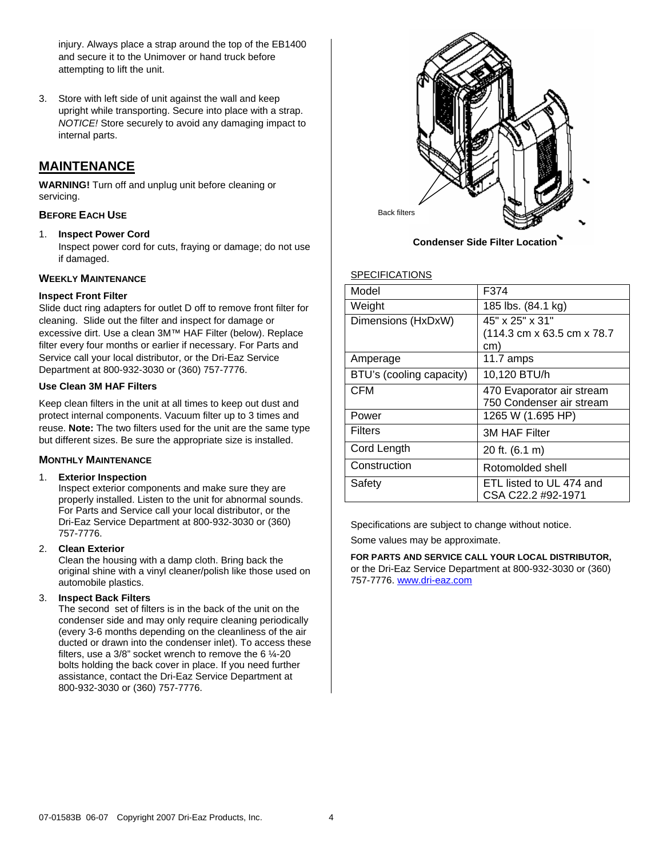injury. Always place a strap around the top of the EB1400 and secure it to the Unimover or hand truck before attempting to lift the unit.

3. Store with left side of unit against the wall and keep upright while transporting. Secure into place with a strap. *NOTICE!* Store securely to avoid any damaging impact to internal parts.

# **MAINTENANCE**

**WARNING!** Turn off and unplug unit before cleaning or servicing.

#### **BEFORE EACH USE**

1. **Inspect Power Cord**

Inspect power cord for cuts, fraying or damage; do not use if damaged.

#### **WEEKLY MAINTENANCE**

#### **Inspect Front Filter**

Slide duct ring adapters for outlet D off to remove front filter for cleaning. Slide out the filter and inspect for damage or excessive dirt. Use a clean 3M™ HAF Filter (below). Replace filter every four months or earlier if necessary. For Parts and Service call your local distributor, or the Dri-Eaz Service Department at 800-932-3030 or (360) 757-7776.

#### **Use Clean 3M HAF Filters**

Keep clean filters in the unit at all times to keep out dust and protect internal components. Vacuum filter up to 3 times and reuse. **Note:** The two filters used for the unit are the same type but different sizes. Be sure the appropriate size is installed.

#### **MONTHLY MAINTENANCE**

#### 1. **Exterior Inspection**

Inspect exterior components and make sure they are properly installed. Listen to the unit for abnormal sounds. For Parts and Service call your local distributor, or the Dri-Eaz Service Department at 800-932-3030 or (360) 757-7776.

#### 2. **Clean Exterior**

Clean the housing with a damp cloth. Bring back the original shine with a vinyl cleaner/polish like those used on automobile plastics.

#### 3. **Inspect Back Filters**

The second set of filters is in the back of the unit on the condenser side and may only require cleaning periodically (every 3-6 months depending on the cleanliness of the air ducted or drawn into the condenser inlet). To access these filters, use a  $3/8$ " socket wrench to remove the 6  $\frac{1}{4}$ -20 bolts holding the back cover in place. If you need further assistance, contact the Dri-Eaz Service Department at 800-932-3030 or (360) 757-7776.



 **Condenser Side Filter Location**

#### SPECIFICATIONS

| Model                    | F374                        |
|--------------------------|-----------------------------|
| Weight                   | 185 lbs. (84.1 kg)          |
| Dimensions (HxDxW)       | 45" x 25" x 31"             |
|                          | (114.3 cm x 63.5 cm x 78.7) |
|                          | cm)                         |
| Amperage                 | 11.7 amps                   |
| BTU's (cooling capacity) | 10,120 BTU/h                |
| <b>CFM</b>               | 470 Evaporator air stream   |
|                          | 750 Condenser air stream    |
| Power                    | 1265 W (1.695 HP)           |
| <b>Filters</b>           | <b>3M HAF Filter</b>        |
| Cord Length              | 20 ft. (6.1 m)              |
| Construction             | Rotomolded shell            |
| Safety                   | ETL listed to UL 474 and    |
|                          | CSA C22.2 #92-1971          |

Specifications are subject to change without notice.

Some values may be approximate.

**FOR PARTS AND SERVICE CALL YOUR LOCAL DISTRIBUTOR,**  or the Dri-Eaz Service Department at 800-932-3030 or (360) 757-7776. www.dri-eaz.com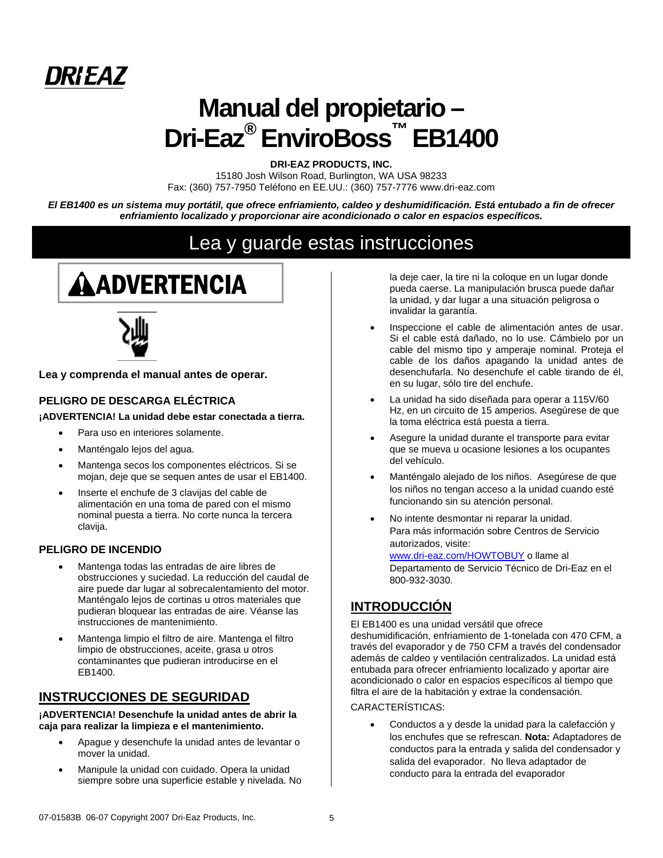

# **Manual del propietario – Dri-Eaz® EnviroBoss™ EB1400**

**DRI-EAZ PRODUCTS, INC.** 

15180 Josh Wilson Road, Burlington, WA USA 98233 Fax: (360) 757-7950 Teléfono en EE.UU.: (360) 757-7776 www.dri-eaz.com

*El EB1400 es un sistema muy portátil, que ofrece enfriamiento, caldeo y deshumidificación. Está entubado a fin de ofrecer enfriamiento localizado y proporcionar aire acondicionado o calor en espacios específicos.* 

# Lea y guarde estas instrucciones

# **AADVERTENCIA**



**Lea y comprenda el manual antes de operar.**

#### **PELIGRO DE DESCARGA ELÉCTRICA**

**¡ADVERTENCIA! La unidad debe estar conectada a tierra.** 

- Para uso en interiores solamente.
- Manténgalo lejos del agua.
- Mantenga secos los componentes eléctricos. Si se mojan, deje que se sequen antes de usar el EB1400.
- Inserte el enchufe de 3 clavijas del cable de alimentación en una toma de pared con el mismo nominal puesta a tierra. No corte nunca la tercera clavija.

#### **PELIGRO DE INCENDIO**

- Mantenga todas las entradas de aire libres de obstrucciones y suciedad. La reducción del caudal de aire puede dar lugar al sobrecalentamiento del motor. Manténgalo lejos de cortinas u otros materiales que pudieran bloquear las entradas de aire. Véanse las instrucciones de mantenimiento.
- Mantenga limpio el filtro de aire. Mantenga el filtro limpio de obstrucciones, aceite, grasa u otros contaminantes que pudieran introducirse en el EB1400.

## **INSTRUCCIONES DE SEGURIDAD**

**¡ADVERTENCIA! Desenchufe la unidad antes de abrir la caja para realizar la limpieza e el mantenimiento.**

- Apague y desenchufe la unidad antes de levantar o mover la unidad.
- Manipule la unidad con cuidado. Opera la unidad siempre sobre una superficie estable y nivelada. No

la deje caer, la tire ni la coloque en un lugar donde pueda caerse. La manipulación brusca puede dañar la unidad, y dar lugar a una situación peligrosa o invalidar la garantía.

- Inspeccione el cable de alimentación antes de usar. Si el cable está dañado, no lo use. Cámbielo por un cable del mismo tipo y amperaje nominal. Proteja el cable de los daños apagando la unidad antes de desenchufarla. No desenchufe el cable tirando de él, en su lugar, sólo tire del enchufe.
- La unidad ha sido diseñada para operar a 115V/60 Hz, en un circuito de 15 amperios. Asegúrese de que la toma eléctrica está puesta a tierra.
- Asegure la unidad durante el transporte para evitar que se mueva u ocasione lesiones a los ocupantes del vehículo.
- Manténgalo alejado de los niños. Asegúrese de que los niños no tengan acceso a la unidad cuando esté funcionando sin su atención personal.
- No intente desmontar ni reparar la unidad. Para más información sobre Centros de Servicio autorizados, visite: www.dri-eaz.com/HOWTOBUY o llame al Departamento de Servicio Técnico de Dri-Eaz en el 800-932-3030.

# **INTRODUCCIÓN**

El EB1400 es una unidad versátil que ofrece deshumidificación, enfriamiento de 1-tonelada con 470 CFM, a través del evaporador y de 750 CFM a través del condensador además de caldeo y ventilación centralizados. La unidad está entubada para ofrecer enfriamiento localizado y aportar aire acondicionado o calor en espacios específicos al tiempo que filtra el aire de la habitación y extrae la condensación.

CARACTERÍSTICAS:

• Conductos a y desde la unidad para la calefacción y los enchufes que se refrescan. **Nota:** Adaptadores de conductos para la entrada y salida del condensador y salida del evaporador. No lleva adaptador de conducto para la entrada del evaporador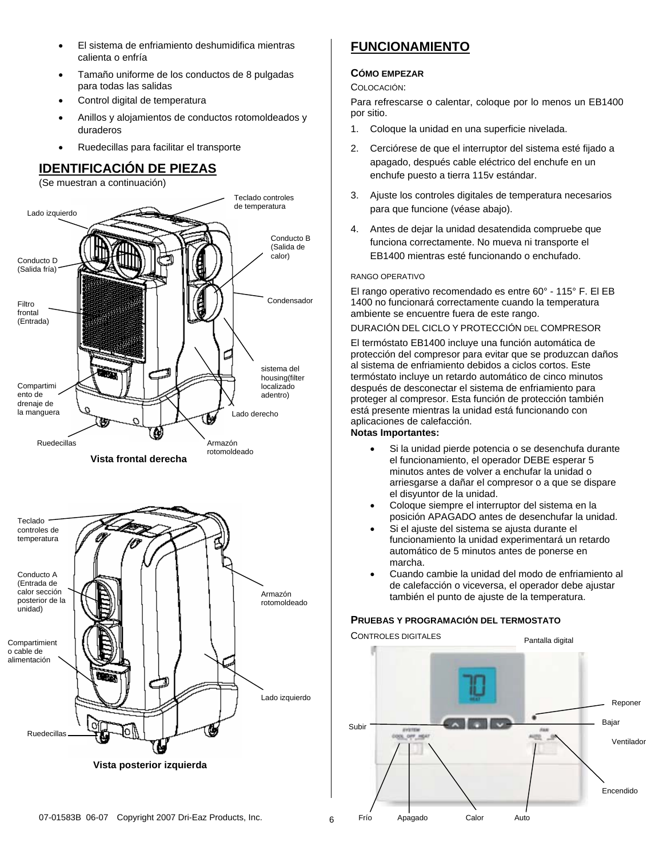- El sistema de enfriamiento deshumidifica mientras calienta o enfría
- Tamaño uniforme de los conductos de 8 pulgadas para todas las salidas
- Control digital de temperatura
- Anillos y alojamientos de conductos rotomoldeados y duraderos
- Ruedecillas para facilitar el transporte

# **IDENTIFICACIÓN DE PIEZAS**

(Se muestran a continuación)



# **FUNCIONAMIENTO**

### **CÓMO EMPEZAR**

### COLOCACIÓN:

Para refrescarse o calentar, coloque por lo menos un EB1400 por sitio.

- 1. Coloque la unidad en una superficie nivelada.
- 2. Cerciórese de que el interruptor del sistema esté fijado a apagado, después cable eléctrico del enchufe en un enchufe puesto a tierra 115v estándar.
- 3. Ajuste los controles digitales de temperatura necesarios para que funcione (véase abajo).
- 4. Antes de dejar la unidad desatendida compruebe que funciona correctamente. No mueva ni transporte el EB1400 mientras esté funcionando o enchufado.

#### RANGO OPERATIVO

El rango operativo recomendado es entre 60° - 115° F. El EB 1400 no funcionará correctamente cuando la temperatura ambiente se encuentre fuera de este rango.

#### DURACIÓN DEL CICLO Y PROTECCIÓN DEL COMPRESOR

El termóstato EB1400 incluye una función automática de protección del compresor para evitar que se produzcan daños al sistema de enfriamiento debidos a ciclos cortos. Este termóstato incluye un retardo automático de cinco minutos después de desconectar el sistema de enfriamiento para proteger al compresor. Esta función de protección también está presente mientras la unidad está funcionando con aplicaciones de calefacción.

#### **Notas Importantes:**

- Si la unidad pierde potencia o se desenchufa durante el funcionamiento, el operador DEBE esperar 5 minutos antes de volver a enchufar la unidad o arriesgarse a dañar el compresor o a que se dispare el disyuntor de la unidad.
- Coloque siempre el interruptor del sistema en la posición APAGADO antes de desenchufar la unidad.
- Si el ajuste del sistema se ajusta durante el funcionamiento la unidad experimentará un retardo automático de 5 minutos antes de ponerse en marcha.
- Cuando cambie la unidad del modo de enfriamiento al de calefacción o viceversa, el operador debe ajustar también el punto de ajuste de la temperatura.

#### **PRUEBAS Y PROGRAMACIÓN DEL TERMOSTATO**

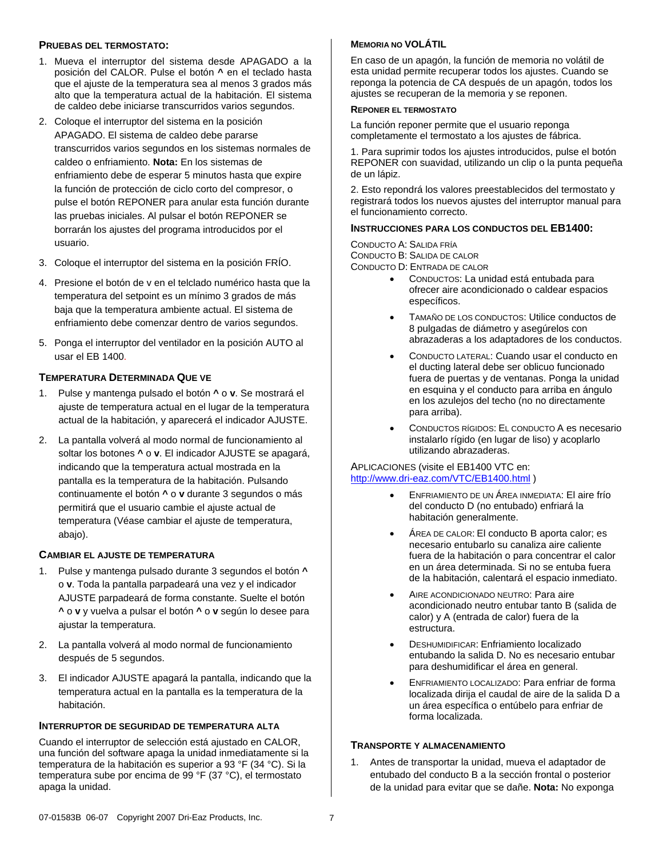#### **PRUEBAS DEL TERMOSTATO:**

- 1. Mueva el interruptor del sistema desde APAGADO a la posición del CALOR. Pulse el botón **^** en el teclado hasta que el ajuste de la temperatura sea al menos 3 grados más alto que la temperatura actual de la habitación. El sistema de caldeo debe iniciarse transcurridos varios segundos.
- 2. Coloque el interruptor del sistema en la posición APAGADO. El sistema de caldeo debe pararse transcurridos varios segundos en los sistemas normales de caldeo o enfriamiento. **Nota:** En los sistemas de enfriamiento debe de esperar 5 minutos hasta que expire la función de protección de ciclo corto del compresor, o pulse el botón REPONER para anular esta función durante las pruebas iniciales. Al pulsar el botón REPONER se borrarán los ajustes del programa introducidos por el usuario.
- 3. Coloque el interruptor del sistema en la posición FRÍO.
- 4. Presione el botón de v en el telclado numérico hasta que la temperatura del setpoint es un mínimo 3 grados de más baja que la temperatura ambiente actual. El sistema de enfriamiento debe comenzar dentro de varios segundos.
- 5. Ponga el interruptor del ventilador en la posición AUTO al usar el EB 1400.

#### **TEMPERATURA DETERMINADA QUE VE**

- 1. Pulse y mantenga pulsado el botón **^** o **v**. Se mostrará el ajuste de temperatura actual en el lugar de la temperatura actual de la habitación, y aparecerá el indicador AJUSTE.
- 2. La pantalla volverá al modo normal de funcionamiento al soltar los botones **^** o **v**. El indicador AJUSTE se apagará, indicando que la temperatura actual mostrada en la pantalla es la temperatura de la habitación. Pulsando continuamente el botón **^** o **v** durante 3 segundos o más permitirá que el usuario cambie el ajuste actual de temperatura (Véase cambiar el ajuste de temperatura, abajo).

#### **CAMBIAR EL AJUSTE DE TEMPERATURA**

- 1. Pulse y mantenga pulsado durante 3 segundos el botón **^** o **v**. Toda la pantalla parpadeará una vez y el indicador AJUSTE parpadeará de forma constante. Suelte el botón **^** o **v** y vuelva a pulsar el botón **^** o **v** según lo desee para ajustar la temperatura.
- 2. La pantalla volverá al modo normal de funcionamiento después de 5 segundos.
- 3. El indicador AJUSTE apagará la pantalla, indicando que la temperatura actual en la pantalla es la temperatura de la habitación.

#### **INTERRUPTOR DE SEGURIDAD DE TEMPERATURA ALTA**

Cuando el interruptor de selección está ajustado en CALOR, una función del software apaga la unidad inmediatamente si la temperatura de la habitación es superior a 93 °F (34 °C). Si la temperatura sube por encima de 99 °F (37 °C), el termostato apaga la unidad.

#### **MEMORIA NO VOLÁTIL**

En caso de un apagón, la función de memoria no volátil de esta unidad permite recuperar todos los ajustes. Cuando se reponga la potencia de CA después de un apagón, todos los ajustes se recuperan de la memoria y se reponen.

#### **REPONER EL TERMOSTATO**

La función reponer permite que el usuario reponga completamente el termostato a los ajustes de fábrica.

1. Para suprimir todos los ajustes introducidos, pulse el botón REPONER con suavidad, utilizando un clip o la punta pequeña de un lápiz.

2. Esto repondrá los valores preestablecidos del termostato y registrará todos los nuevos ajustes del interruptor manual para el funcionamiento correcto.

#### **INSTRUCCIONES PARA LOS CONDUCTOS DEL EB1400:**

CONDUCTO A: SALIDA FRÍA CONDUCTO B: SALIDA DE CALOR CONDUCTO D: ENTRADA DE CALOR

- CONDUCTOS: La unidad está entubada para ofrecer aire acondicionado o caldear espacios específicos.
- TAMAÑO DE LOS CONDUCTOS: Utilice conductos de 8 pulgadas de diámetro y asegúrelos con abrazaderas a los adaptadores de los conductos.
- CONDUCTO LATERAL: Cuando usar el conducto en el ducting lateral debe ser oblicuo funcionado fuera de puertas y de ventanas. Ponga la unidad en esquina y el conducto para arriba en ángulo en los azulejos del techo (no no directamente para arriba).
- CONDUCTOS RÍGIDOS: EL CONDUCTO A es necesario instalarlo rígido (en lugar de liso) y acoplarlo utilizando abrazaderas.

#### APLICACIONES (visite el EB1400 VTC en: http://www.dri-eaz.com/VTC/EB1400.html )

- ENFRIAMIENTO DE UN ÁREA INMEDIATA: El aire frío del conducto D (no entubado) enfriará la habitación generalmente.
- ÁREA DE CALOR: El conducto B aporta calor; es necesario entubarlo su canaliza aire caliente fuera de la habitación o para concentrar el calor en un área determinada. Si no se entuba fuera de la habitación, calentará el espacio inmediato.
- AIRE ACONDICIONADO NEUTRO: Para aire acondicionado neutro entubar tanto B (salida de calor) y A (entrada de calor) fuera de la estructura.
- DESHUMIDIFICAR: Enfriamiento localizado entubando la salida D. No es necesario entubar para deshumidificar el área en general.
- ENFRIAMIENTO LOCALIZADO: Para enfriar de forma localizada dirija el caudal de aire de la salida D a un área específica o entúbelo para enfriar de forma localizada.

#### **TRANSPORTE Y ALMACENAMIENTO**

1. Antes de transportar la unidad, mueva el adaptador de entubado del conducto B a la sección frontal o posterior de la unidad para evitar que se dañe. **Nota:** No exponga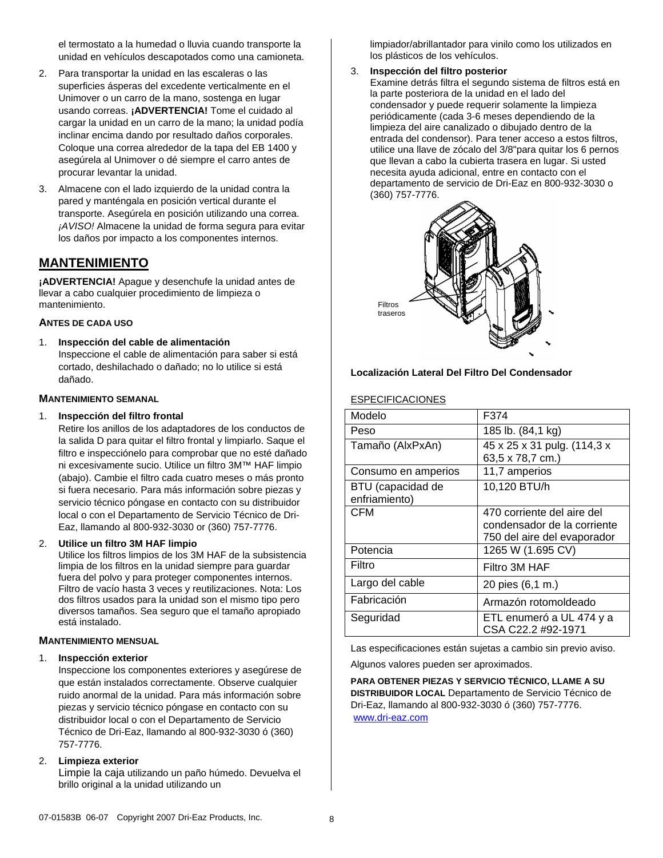el termostato a la humedad o lluvia cuando transporte la unidad en vehículos descapotados como una camioneta.

- 2. Para transportar la unidad en las escaleras o las superficies ásperas del excedente verticalmente en el Unimover o un carro de la mano, sostenga en lugar usando correas. **¡ADVERTENCIA!** Tome el cuidado al cargar la unidad en un carro de la mano; la unidad podía inclinar encima dando por resultado daños corporales. Coloque una correa alrededor de la tapa del EB 1400 y asegúrela al Unimover o dé siempre el carro antes de procurar levantar la unidad.
- 3. Almacene con el lado izquierdo de la unidad contra la pared y manténgala en posición vertical durante el transporte. Asegúrela en posición utilizando una correa. *¡AVISO!* Almacene la unidad de forma segura para evitar los daños por impacto a los componentes internos.

## **MANTENIMIENTO**

**¡ADVERTENCIA!** Apague y desenchufe la unidad antes de llevar a cabo cualquier procedimiento de limpieza o mantenimiento.

#### **ANTES DE CADA USO**

1. **Inspección del cable de alimentación** Inspeccione el cable de alimentación para saber si está cortado, deshilachado o dañado; no lo utilice si está dañado.

#### **MANTENIMIENTO SEMANAL**

#### 1. **Inspección del filtro frontal**

Retire los anillos de los adaptadores de los conductos de la salida D para quitar el filtro frontal y limpiarlo. Saque el filtro e inspecciónelo para comprobar que no esté dañado ni excesivamente sucio. Utilice un filtro 3M™ HAF limpio (abajo). Cambie el filtro cada cuatro meses o más pronto si fuera necesario. Para más información sobre piezas y servicio técnico póngase en contacto con su distribuidor local o con el Departamento de Servicio Técnico de Dri-Eaz, llamando al 800-932-3030 or (360) 757-7776.

#### 2. **Utilice un filtro 3M HAF limpio**

Utilice los filtros limpios de los 3M HAF de la subsistencia limpia de los filtros en la unidad siempre para guardar fuera del polvo y para proteger componentes internos. Filtro de vacío hasta 3 veces y reutilizaciones. Nota: Los dos filtros usados para la unidad son el mismo tipo pero diversos tamaños. Sea seguro que el tamaño apropiado está instalado.

#### **MANTENIMIENTO MENSUAL**

#### 1. **Inspección exterior**

Inspeccione los componentes exteriores y asegúrese de que están instalados correctamente. Observe cualquier ruido anormal de la unidad. Para más información sobre piezas y servicio técnico póngase en contacto con su distribuidor local o con el Departamento de Servicio Técnico de Dri-Eaz, llamando al 800-932-3030 ó (360) 757-7776.

#### 2. **Limpieza exterior**

Limpie la caja utilizando un paño húmedo. Devuelva el brillo original a la unidad utilizando un

limpiador/abrillantador para vinilo como los utilizados en los plásticos de los vehículos.

#### 3. **Inspección del filtro posterior**

Examine detrás filtra el segundo sistema de filtros está en la parte posteriora de la unidad en el lado del condensador y puede requerir solamente la limpieza periódicamente (cada 3-6 meses dependiendo de la limpieza del aire canalizado o dibujado dentro de la entrada del condensor). Para tener acceso a estos filtros, utilice una llave de zócalo del 3/8"para quitar los 6 pernos que llevan a cabo la cubierta trasera en lugar. Si usted necesita ayuda adicional, entre en contacto con el departamento de servicio de Dri-Eaz en 800-932-3030 o (360) 757-7776.



#### **Localización Lateral Del Filtro Del Condensador**

#### ESPECIFICACIONES

| Modelo                             | F374                                                                                     |
|------------------------------------|------------------------------------------------------------------------------------------|
| Peso                               | 185 lb. (84,1 kg)                                                                        |
| Tamaño (AlxPxAn)                   | 45 x 25 x 31 pulg. (114,3 x<br>63,5 x 78,7 cm.)                                          |
| Consumo en amperios                | 11,7 amperios                                                                            |
| BTU (capacidad de<br>enfriamiento) | 10,120 BTU/h                                                                             |
| CFM                                | 470 corriente del aire del<br>condensador de la corriente<br>750 del aire del evaporador |
| Potencia                           | 1265 W (1.695 CV)                                                                        |
| Filtro                             | Filtro 3M HAF                                                                            |
| Largo del cable                    | 20 pies (6,1 m.)                                                                         |
| Fabricación                        | Armazón rotomoldeado                                                                     |
| Seguridad                          | ETL enumeró a UL 474 y a<br>CSA C22.2 #92-1971                                           |

Las especificaciones están sujetas a cambio sin previo aviso.

Algunos valores pueden ser aproximados.

**PARA OBTENER PIEZAS Y SERVICIO TÉCNICO, LLAME A SU DISTRIBUIDOR LOCAL** Departamento de Servicio Técnico de Dri-Eaz, llamando al 800-932-3030 ó (360) 757-7776. www.dri-eaz.com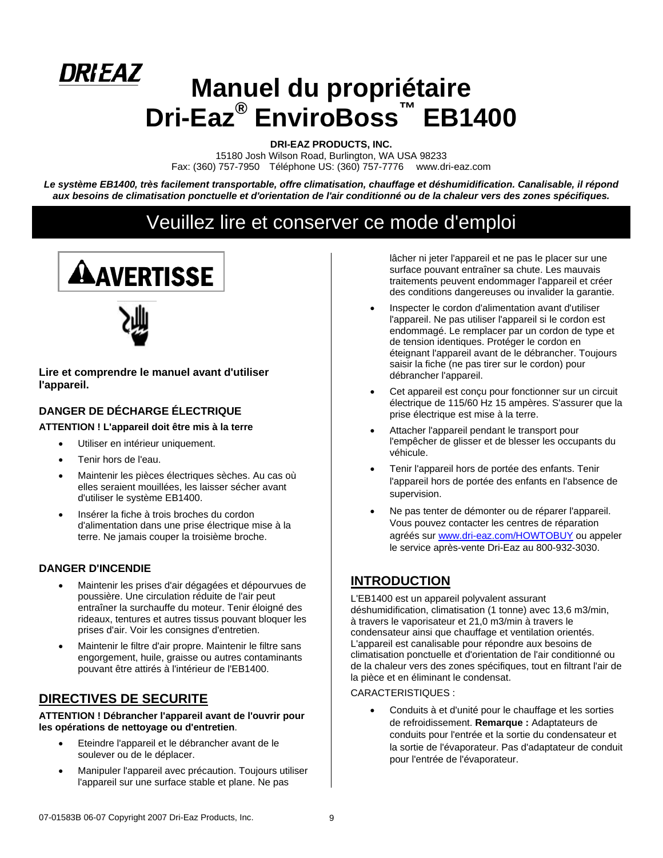# *DRIEAZ* **Manuel du propriétaire Dri-Eaz® EnviroBoss™ EB1400**

**DRI-EAZ PRODUCTS, INC.** 

15180 Josh Wilson Road, Burlington, WA USA 98233 Fax: (360) 757-7950 Téléphone US: (360) 757-7776 www.dri-eaz.com

*Le système EB1400, très facilement transportable, offre climatisation, chauffage et déshumidification. Canalisable, il répond aux besoins de climatisation ponctuelle et d'orientation de l'air conditionné ou de la chaleur vers des zones spécifiques.* 

# Veuillez lire et conserver ce mode d'emploi





**Lire et comprendre le manuel avant d'utiliser l'appareil.**

### **DANGER DE DÉCHARGE ÉLECTRIQUE**

#### **ATTENTION ! L'appareil doit être mis à la terre**

- Utiliser en intérieur uniquement.
- Tenir hors de l'eau.
- Maintenir les pièces électriques sèches. Au cas où elles seraient mouillées, les laisser sécher avant d'utiliser le système EB1400.
- Insérer la fiche à trois broches du cordon d'alimentation dans une prise électrique mise à la terre. Ne jamais couper la troisième broche.

#### **DANGER D'INCENDIE**

- Maintenir les prises d'air dégagées et dépourvues de poussière. Une circulation réduite de l'air peut entraîner la surchauffe du moteur. Tenir éloigné des rideaux, tentures et autres tissus pouvant bloquer les prises d'air. Voir les consignes d'entretien.
- Maintenir le filtre d'air propre. Maintenir le filtre sans engorgement, huile, graisse ou autres contaminants pouvant être attirés à l'intérieur de l'EB1400.

## **DIRECTIVES DE SECURITE**

**ATTENTION ! Débrancher l'appareil avant de l'ouvrir pour les opérations de nettoyage ou d'entretien**.

- Eteindre l'appareil et le débrancher avant de le soulever ou de le déplacer.
- Manipuler l'appareil avec précaution. Toujours utiliser l'appareil sur une surface stable et plane. Ne pas

lâcher ni jeter l'appareil et ne pas le placer sur une surface pouvant entraîner sa chute. Les mauvais traitements peuvent endommager l'appareil et créer des conditions dangereuses ou invalider la garantie.

- Inspecter le cordon d'alimentation avant d'utiliser l'appareil. Ne pas utiliser l'appareil si le cordon est endommagé. Le remplacer par un cordon de type et de tension identiques. Protéger le cordon en éteignant l'appareil avant de le débrancher. Toujours saisir la fiche (ne pas tirer sur le cordon) pour débrancher l'appareil.
- Cet appareil est concu pour fonctionner sur un circuit électrique de 115/60 Hz 15 ampères. S'assurer que la prise électrique est mise à la terre.
- Attacher l'appareil pendant le transport pour l'empêcher de glisser et de blesser les occupants du véhicule.
- Tenir l'appareil hors de portée des enfants. Tenir l'appareil hors de portée des enfants en l'absence de supervision.
- Ne pas tenter de démonter ou de réparer l'appareil. Vous pouvez contacter les centres de réparation agréés sur www.dri-eaz.com/HOWTOBUY ou appeler le service après-vente Dri-Eaz au 800-932-3030.

## **INTRODUCTION**

L'EB1400 est un appareil polyvalent assurant déshumidification, climatisation (1 tonne) avec 13,6 m3/min, à travers le vaporisateur et 21,0 m3/min à travers le condensateur ainsi que chauffage et ventilation orientés. L'appareil est canalisable pour répondre aux besoins de climatisation ponctuelle et d'orientation de l'air conditionné ou de la chaleur vers des zones spécifiques, tout en filtrant l'air de la pièce et en éliminant le condensat.

CARACTERISTIQUES :

Conduits à et d'unité pour le chauffage et les sorties de refroidissement. **Remarque :** Adaptateurs de conduits pour l'entrée et la sortie du condensateur et la sortie de l'évaporateur. Pas d'adaptateur de conduit pour l'entrée de l'évaporateur.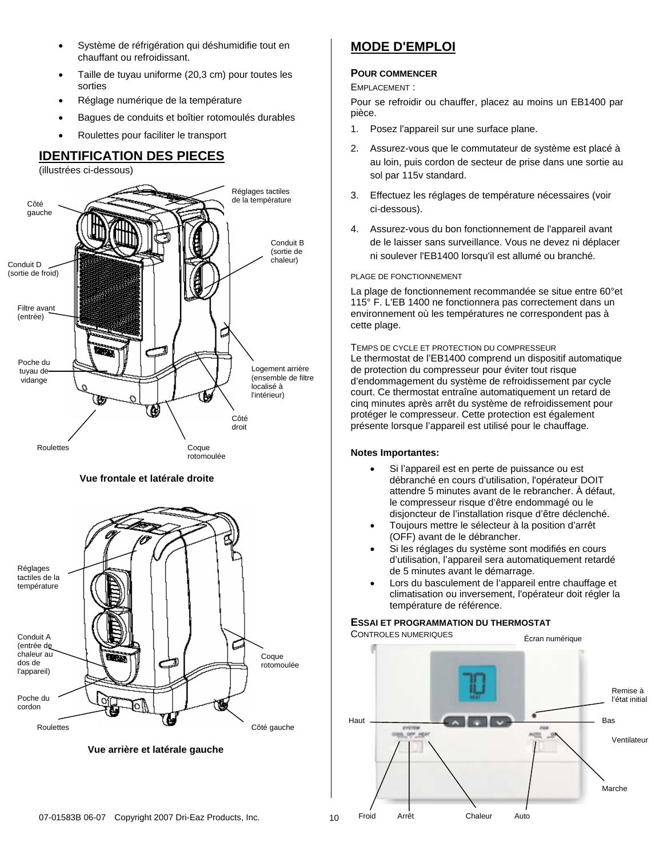- Système de réfrigération qui déshumidifie tout en chauffant ou refroidissant.
- Taille de tuyau uniforme (20,3 cm) pour toutes les sorties
- Réglage numérique de la température
- Bagues de conduits et boîtier rotomoulés durables
- Roulettes pour faciliter le transport

# **IDENTIFICATION DES PIECES**

(illustrées ci-dessous)



#### **Vue frontale et latérale droite**



 **Vue arrière et latérale gauche**

# **MODE D'EMPLOI**

#### **POUR COMMENCER**

#### EMPLACEMENT :

Pour se refroidir ou chauffer, placez au moins un EB1400 par pièce.

- 1. Posez l'appareil sur une surface plane.
- 2. Assurez-vous que le commutateur de système est placé à au loin, puis cordon de secteur de prise dans une sortie au sol par 115v standard.
- 3. Effectuez les réglages de température nécessaires (voir ci-dessous).
- 4. Assurez-vous du bon fonctionnement de l'appareil avant de le laisser sans surveillance. Vous ne devez ni déplacer ni soulever l'EB1400 lorsqu'il est allumé ou branché.

#### PLAGE DE FONCTIONNEMENT

La plage de fonctionnement recommandée se situe entre 60°et 115° F. L'EB 1400 ne fonctionnera pas correctement dans un environnement où les températures ne correspondent pas à cette plage.

TEMPS DE CYCLE ET PROTECTION DU COMPRESSEUR Le thermostat de l'EB1400 comprend un dispositif automatique de protection du compresseur pour éviter tout risque d'endommagement du système de refroidissement par cycle court. Ce thermostat entraîne automatiquement un retard de cinq minutes après arrêt du système de refroidissement pour protéger le compresseur. Cette protection est également présente lorsque l'appareil est utilisé pour le chauffage.

#### **Notes Importantes:**

- Si l'appareil est en perte de puissance ou est débranché en cours d'utilisation, l'opérateur DOIT attendre 5 minutes avant de le rebrancher. À défaut, le compresseur risque d'être endommagé ou le disjoncteur de l'installation risque d'être déclenché.
- Toujours mettre le sélecteur à la position d'arrêt (OFF) avant de le débrancher.
- Si les réglages du système sont modifiés en cours d'utilisation, l'appareil sera automatiquement retardé de 5 minutes avant le démarrage.
- Lors du basculement de l'appareil entre chauffage et climatisation ou inversement, l'opérateur doit régler la température de référence.

#### **ESSAI ET PROGRAMMATION DU THERMOSTAT**

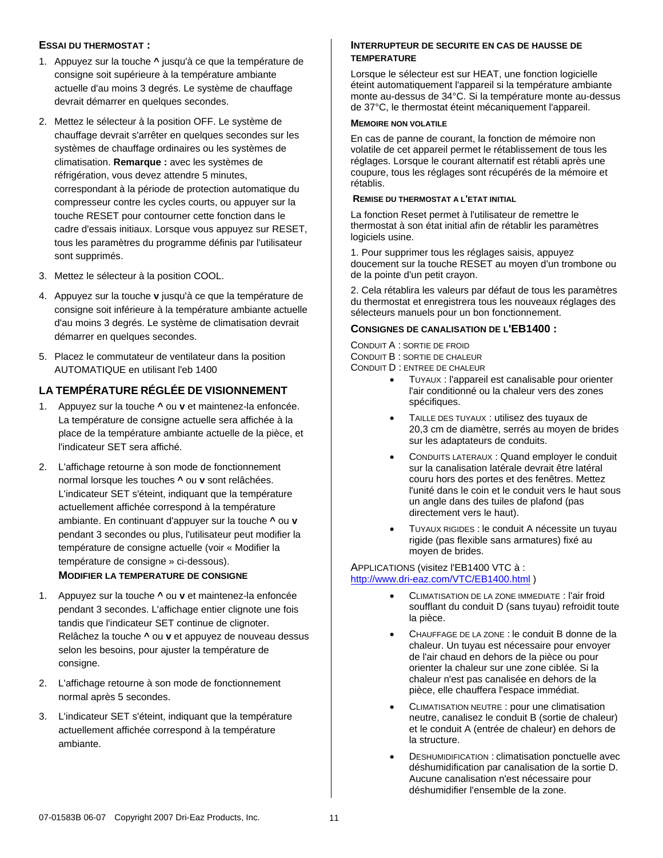#### **ESSAI DU THERMOSTAT :**

- 1. Appuyez sur la touche **^** jusqu'à ce que la température de consigne soit supérieure à la température ambiante actuelle d'au moins 3 degrés. Le système de chauffage devrait démarrer en quelques secondes.
- 2. Mettez le sélecteur à la position OFF. Le système de chauffage devrait s'arrêter en quelques secondes sur les systèmes de chauffage ordinaires ou les systèmes de climatisation. **Remarque :** avec les systèmes de réfrigération, vous devez attendre 5 minutes, correspondant à la période de protection automatique du compresseur contre les cycles courts, ou appuyer sur la touche RESET pour contourner cette fonction dans le cadre d'essais initiaux. Lorsque vous appuyez sur RESET, tous les paramètres du programme définis par l'utilisateur sont supprimés.
- 3. Mettez le sélecteur à la position COOL.
- 4. Appuyez sur la touche **v** jusqu'à ce que la température de consigne soit inférieure à la température ambiante actuelle d'au moins 3 degrés. Le système de climatisation devrait démarrer en quelques secondes.
- 5. Placez le commutateur de ventilateur dans la position AUTOMATIQUE en utilisant l'eb 1400

#### **LA TEMPÉRATURE RÉGLÉE DE VISIONNEMENT**

- 1. Appuyez sur la touche **^** ou **v** et maintenez-la enfoncée. La température de consigne actuelle sera affichée à la place de la température ambiante actuelle de la pièce, et l'indicateur SET sera affiché.
- 2. L'affichage retourne à son mode de fonctionnement normal lorsque les touches **^** ou **v** sont relâchées. L'indicateur SET s'éteint, indiquant que la température actuellement affichée correspond à la température ambiante. En continuant d'appuyer sur la touche **^** ou **v** pendant 3 secondes ou plus, l'utilisateur peut modifier la température de consigne actuelle (voir « Modifier la température de consigne » ci-dessous). **MODIFIER LA TEMPERATURE DE CONSIGNE**
- 1. Appuyez sur la touche **^** ou **v** et maintenez-la enfoncée pendant 3 secondes. L'affichage entier clignote une fois tandis que l'indicateur SET continue de clignoter. Relâchez la touche **^** ou **v** et appuyez de nouveau dessus selon les besoins, pour ajuster la température de consigne.
- 2. L'affichage retourne à son mode de fonctionnement normal après 5 secondes.
- 3. L'indicateur SET s'éteint, indiquant que la température actuellement affichée correspond à la température ambiante.

#### **INTERRUPTEUR DE SECURITE EN CAS DE HAUSSE DE TEMPERATURE**

Lorsque le sélecteur est sur HEAT, une fonction logicielle éteint automatiquement l'appareil si la température ambiante monte au-dessus de 34°C. Si la température monte au-dessus de 37°C, le thermostat éteint mécaniquement l'appareil.

#### **MEMOIRE NON VOLATILE**

En cas de panne de courant, la fonction de mémoire non volatile de cet appareil permet le rétablissement de tous les réglages. Lorsque le courant alternatif est rétabli après une coupure, tous les réglages sont récupérés de la mémoire et rétablis.

#### **REMISE DU THERMOSTAT A L'ETAT INITIAL**

La fonction Reset permet à l'utilisateur de remettre le thermostat à son état initial afin de rétablir les paramètres logiciels usine.

1. Pour supprimer tous les réglages saisis, appuyez doucement sur la touche RESET au moyen d'un trombone ou de la pointe d'un petit crayon.

2. Cela rétablira les valeurs par défaut de tous les paramètres du thermostat et enregistrera tous les nouveaux réglages des sélecteurs manuels pour un bon fonctionnement.

#### **CONSIGNES DE CANALISATION DE L'EB1400 :**

CONDUIT A : SORTIE DE FROID CONDUIT B : SORTIE DE CHALEUR

- CONDUIT D : ENTREE DE CHALEUR
	- TUYAUX : l'appareil est canalisable pour orienter l'air conditionné ou la chaleur vers des zones spécifiques.
	- TAILLE DES TUYAUX : utilisez des tuyaux de 20,3 cm de diamètre, serrés au moyen de brides sur les adaptateurs de conduits.
	- CONDUITS LATERAUX : Quand employer le conduit sur la canalisation latérale devrait être latéral couru hors des portes et des fenêtres. Mettez l'unité dans le coin et le conduit vers le haut sous un angle dans des tuiles de plafond (pas directement vers le haut).
	- TUYAUX RIGIDES : le conduit A nécessite un tuyau rigide (pas flexible sans armatures) fixé au moyen de brides.

#### APPLICATIONS (visitez l'EB1400 VTC à : http://www.dri-eaz.com/VTC/EB1400.html )

- CLIMATISATION DE LA ZONE IMMEDIATE : l'air froid soufflant du conduit D (sans tuyau) refroidit toute la pièce.
- CHAUFFAGE DE LA ZONE : le conduit B donne de la chaleur. Un tuyau est nécessaire pour envoyer de l'air chaud en dehors de la pièce ou pour orienter la chaleur sur une zone ciblée. Si la chaleur n'est pas canalisée en dehors de la pièce, elle chauffera l'espace immédiat.
- CLIMATISATION NEUTRE : pour une climatisation neutre, canalisez le conduit B (sortie de chaleur) et le conduit A (entrée de chaleur) en dehors de la structure.
- DESHUMIDIFICATION : climatisation ponctuelle avec déshumidification par canalisation de la sortie D. Aucune canalisation n'est nécessaire pour déshumidifier l'ensemble de la zone.